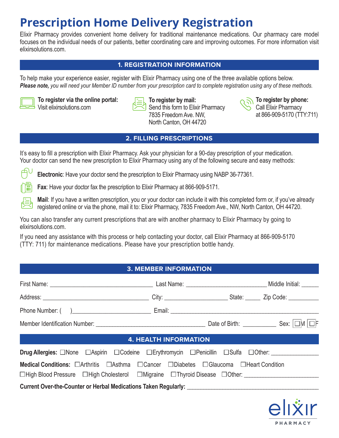# **Prescription Home Delivery Registration**

Elixir Pharmacy provides convenient home delivery for traditional maintenance medications. Our pharmacy care model focuses on the individual needs of our patients, better coordinating care and improving outcomes. For more information visit elixirsolutions.com.

### **1. REGISTRATION INFORMATION**

To help make your experience easier, register with Elixir Pharmacy using one of the three available options below. *Please note, you will need your Member ID number from your prescription card to complete registration using any of these methods.*



lm

**To register via the online portal:** Visit elixirsolutions.com

**To register by mail:** Send this form to Elixir Pharmacy 7835 Freedom Ave. NW, North Canton, OH 44720



**To register by phone:** Call Elixir Pharmacy at 866-909-5170 (TTY:711)

# **2. FILLING PRESCRIPTIONS**

It's easy to fill a prescription with Elixir Pharmacy. Ask your physician for a 90-day prescription of your medication. Your doctor can send the new prescription to Elixir Pharmacy using any of the following secure and easy methods:

**Electronic**: Have your doctor send the prescription to Elixir Pharmacy using NABP 36-77361.

**Fax**: Have your doctor fax the prescription to Elixir Pharmacy at 866-909-5171.

**Mail**: If you have a written prescription, you or your doctor can include it with this completed form or, if you've already registered online or via the phone, mail it to: Elixir Pharmacy, 7835 Freedom Ave., NW, North Canton, OH 44720.

You can also transfer any current prescriptions that are with another pharmacy to Elixir Pharmacy by going to elixirsolutions.com.

If you need any assistance with this process or help contacting your doctor, call Elixir Pharmacy at 866-909-5170 (TTY: 711) for maintenance medications. Please have your prescription bottle handy.

# **3. MEMBER INFORMATION**

| <b>4. HEALTH INFORMATION</b><br><u> Tanzania (h. 18</u>                                                                                                                                           |  |  |  |  |  |  |
|---------------------------------------------------------------------------------------------------------------------------------------------------------------------------------------------------|--|--|--|--|--|--|
|                                                                                                                                                                                                   |  |  |  |  |  |  |
| <b>Medical Conditions:</b> □Arthritis □Asthma □Cancer □Diabetes □Glaucoma □Heart Condition<br>□High Blood Pressure □High Cholesterol □Migraine □Thyroid Disease □Other: _________________________ |  |  |  |  |  |  |
|                                                                                                                                                                                                   |  |  |  |  |  |  |